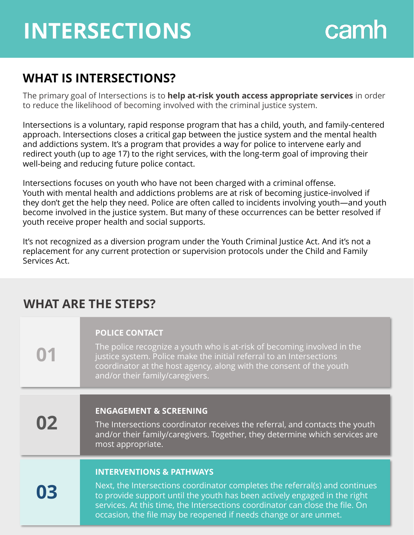## **INTERSECTIONS**

# camh

#### **WHAT IS INTERSECTIONS?**

The primary goal of Intersections is to **help at-risk youth access appropriate services** in order to reduce the likelihood of becoming involved with the criminal justice system.

Intersections is a voluntary, rapid response program that has a child, youth, and family-centered approach. Intersections closes a critical gap between the justice system and the mental health and addictions system. It's a program that provides a way for police to intervene early and redirect youth (up to age 17) to the right services, with the long-term goal of improving their well-being and reducing future police contact.

Intersections focuses on youth who have not been charged with a criminal offense. Youth with mental health and addictions problems are at risk of becoming justice-involved if they don't get the help they need. Police are often called to incidents involving youth—and youth become involved in the justice system. But many of these occurrences can be better resolved if youth receive proper health and social supports.

It's not recognized as a diversion program under the Youth Criminal Justice Act. And it's not a replacement for any current protection or supervision protocols under the Child and Family Services Act.

### **WHAT ARE THE STEPS?**

| 01 | <b>POLICE CONTACT</b><br>The police recognize a youth who is at-risk of becoming involved in the<br>justice system. Police make the initial referral to an Intersections<br>coordinator at the host agency, along with the consent of the youth<br>and/or their family/caregivers.                           |
|----|--------------------------------------------------------------------------------------------------------------------------------------------------------------------------------------------------------------------------------------------------------------------------------------------------------------|
| 02 | <b>ENGAGEMENT &amp; SCREENING</b>                                                                                                                                                                                                                                                                            |
|    | The Intersections coordinator receives the referral, and contacts the youth<br>and/or their family/caregivers. Together, they determine which services are<br>most appropriate.                                                                                                                              |
|    | <b>INTERVENTIONS &amp; PATHWAYS</b>                                                                                                                                                                                                                                                                          |
| 03 | Next, the Intersections coordinator completes the referral(s) and continues<br>to provide support until the youth has been actively engaged in the right<br>services. At this time, the Intersections coordinator can close the file. On<br>occasion, the file may be reopened if needs change or are unmet. |